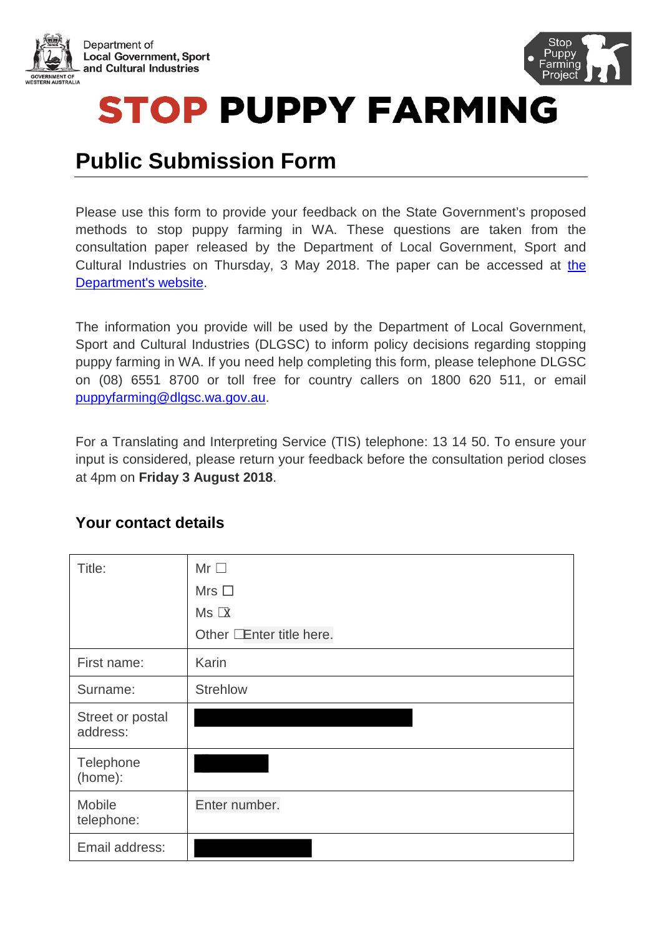



**STOP PUPPY FARMING** 

# **Public Submission Form**

Please use this form to provide your feedback on the State Government's proposed methods to stop puppy farming in WA. These questions are taken from the consultation paper released by the Department of Local Government, Sport and Cultural Industries on Thursday, 3 May 2018. The paper can be accessed at [the](http://www.dlgsc.wa.gov.au/stoppuppyfarming)  [Department's website.](http://www.dlgsc.wa.gov.au/stoppuppyfarming)

The information you provide will be used by the Department of Local Government, Sport and Cultural Industries (DLGSC) to inform policy decisions regarding stopping puppy farming in WA. If you need help completing this form, please telephone DLGSC on (08) 6551 8700 or toll free for country callers on 1800 620 511, or email [puppyfarming@dlgsc.wa.gov.au.](mailto:puppyfarming@dlgsc.wa.gov.au)

For a Translating and Interpreting Service (TIS) telephone: 13 14 50. To ensure your input is considered, please return your feedback before the consultation period closes at 4pm on **Friday 3 August 2018**.

#### **Your contact details**

| Title:                       | $Mr \Box$<br>Mrs $\Box$<br>$Ms \times x$<br>Other Enter title here. |
|------------------------------|---------------------------------------------------------------------|
| First name:                  | Karin                                                               |
| Surname:                     | <b>Strehlow</b>                                                     |
| Street or postal<br>address: |                                                                     |
| Telephone<br>(home):         |                                                                     |
| Mobile<br>telephone:         | Enter number.                                                       |
| Email address:               |                                                                     |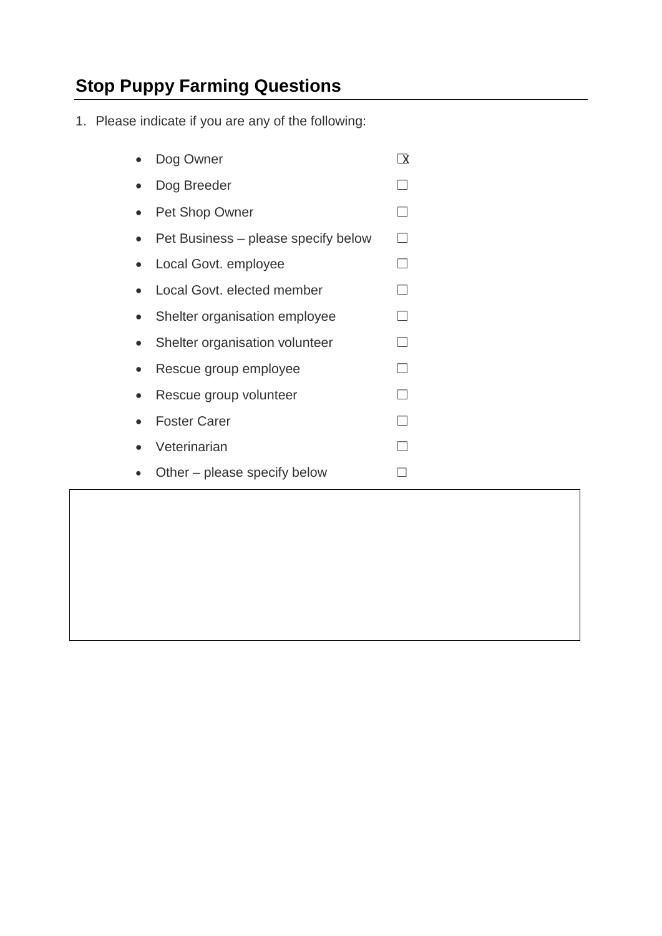## **Stop Puppy Farming Questions**

1. Please indicate if you are any of the following:

| Dog Owner                           | ᆪ |
|-------------------------------------|---|
| Dog Breeder                         |   |
| <b>Pet Shop Owner</b>               |   |
| Pet Business – please specify below |   |
| Local Govt. employee                |   |
| Local Govt. elected member          |   |
| Shelter organisation employee       |   |
| Shelter organisation volunteer      |   |
| Rescue group employee               |   |
| Rescue group volunteer              |   |
| <b>Foster Carer</b>                 |   |
| Veterinarian                        |   |
| Other – please specify below        |   |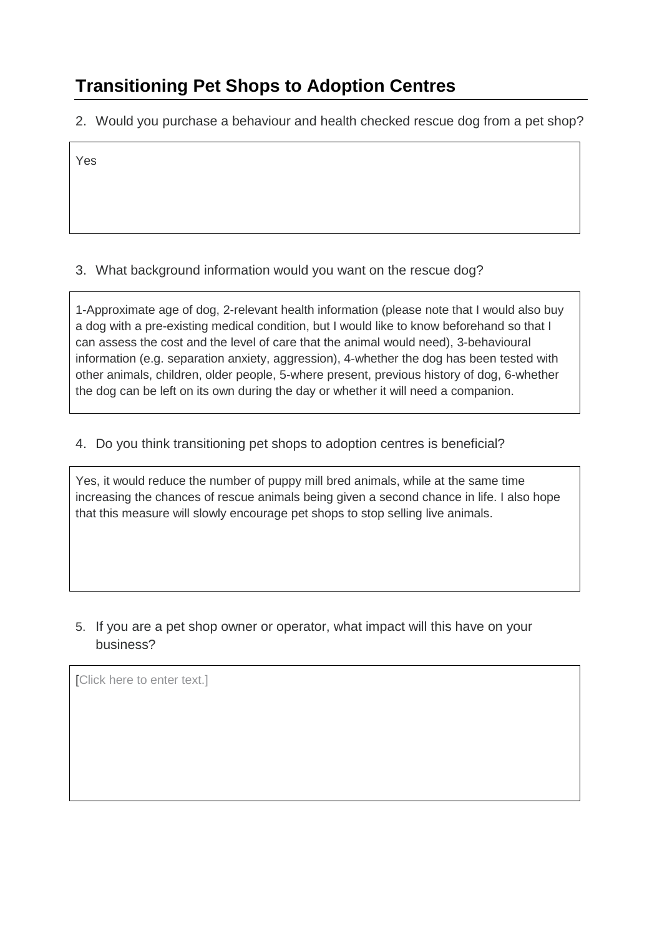## **Transitioning Pet Shops to Adoption Centres**

2. Would you purchase a behaviour and health checked rescue dog from a pet shop?

Yes

#### 3. What background information would you want on the rescue dog?

1-Approximate age of dog, 2-relevant health information (please note that I would also buy a dog with a pre-existing medical condition, but I would like to know beforehand so that I can assess the cost and the level of care that the animal would need), 3-behavioural information (e.g. separation anxiety, aggression), 4-whether the dog has been tested with other animals, children, older people, 5-where present, previous history of dog, 6-whether the dog can be left on its own during the day or whether it will need a companion.

#### 4. Do you think transitioning pet shops to adoption centres is beneficial?

Yes, it would reduce the number of puppy mill bred animals, while at the same time increasing the chances of rescue animals being given a second chance in life. I also hope that this measure will slowly encourage pet shops to stop selling live animals.

5. If you are a pet shop owner or operator, what impact will this have on your business?

[Click here to enter text.]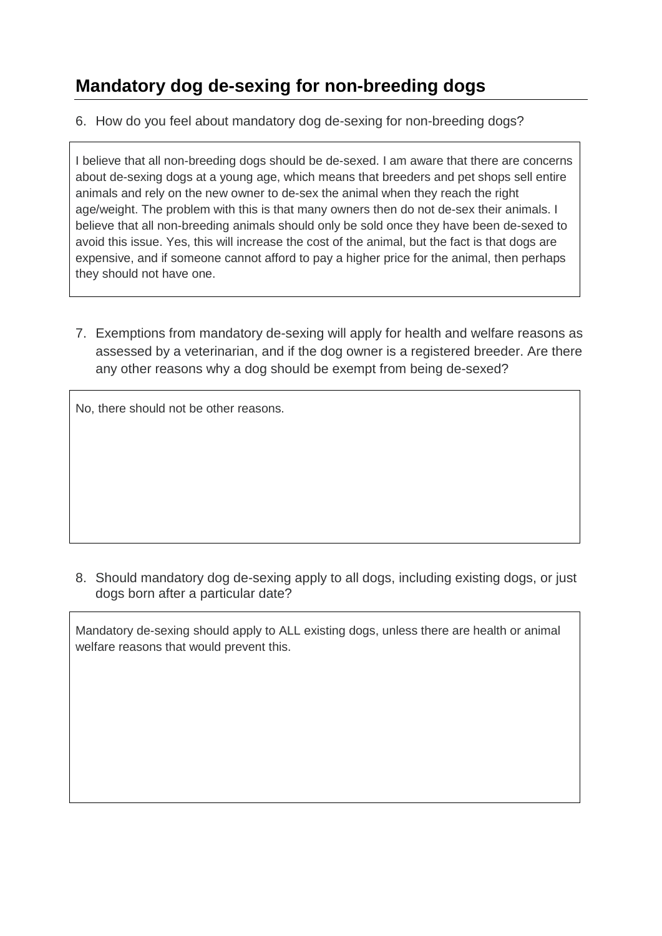## **Mandatory dog de-sexing for non-breeding dogs**

6. How do you feel about mandatory dog de-sexing for non-breeding dogs?

I believe that all non-breeding dogs should be de-sexed. I am aware that there are concerns about de-sexing dogs at a young age, which means that breeders and pet shops sell entire animals and rely on the new owner to de-sex the animal when they reach the right age/weight. The problem with this is that many owners then do not de-sex their animals. I believe that all non-breeding animals should only be sold once they have been de-sexed to avoid this issue. Yes, this will increase the cost of the animal, but the fact is that dogs are expensive, and if someone cannot afford to pay a higher price for the animal, then perhaps they should not have one.

7. Exemptions from mandatory de-sexing will apply for health and welfare reasons as assessed by a veterinarian, and if the dog owner is a registered breeder. Are there any other reasons why a dog should be exempt from being de-sexed?

No, there should not be other reasons.

8. Should mandatory dog de-sexing apply to all dogs, including existing dogs, or just dogs born after a particular date?

Mandatory de-sexing should apply to ALL existing dogs, unless there are health or animal welfare reasons that would prevent this.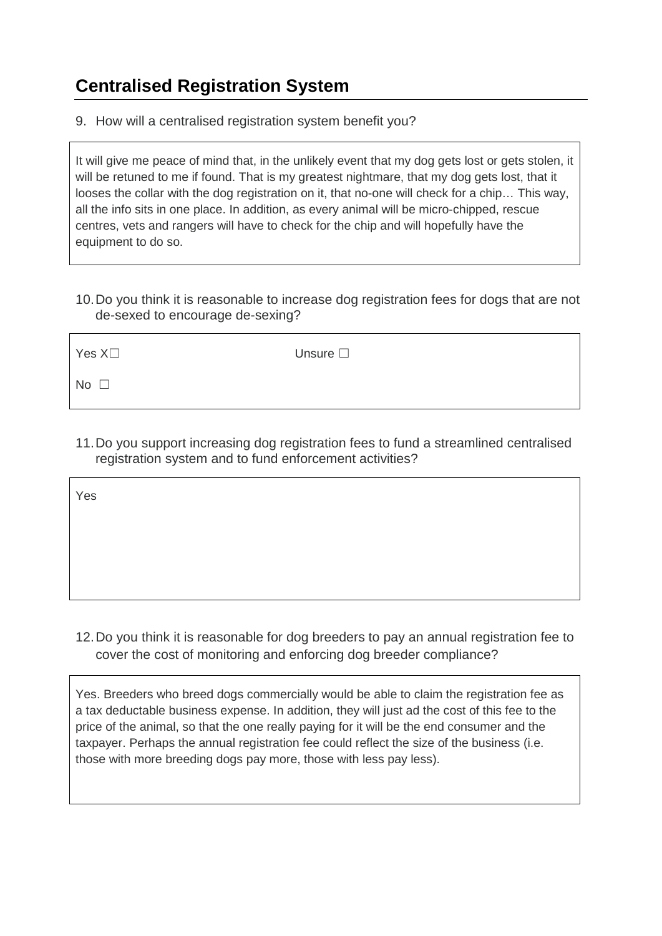#### **Centralised Registration System**

9. How will a centralised registration system benefit you?

It will give me peace of mind that, in the unlikely event that my dog gets lost or gets stolen, it will be retuned to me if found. That is my greatest nightmare, that my dog gets lost, that it looses the collar with the dog registration on it, that no-one will check for a chip… This way, all the info sits in one place. In addition, as every animal will be micro-chipped, rescue centres, vets and rangers will have to check for the chip and will hopefully have the equipment to do so.

10.Do you think it is reasonable to increase dog registration fees for dogs that are not de-sexed to encourage de-sexing?

Yes X□ Unsure □

 $No \nI$ 

11.Do you support increasing dog registration fees to fund a streamlined centralised registration system and to fund enforcement activities?

Yes

12.Do you think it is reasonable for dog breeders to pay an annual registration fee to cover the cost of monitoring and enforcing dog breeder compliance?

Yes. Breeders who breed dogs commercially would be able to claim the registration fee as a tax deductable business expense. In addition, they will just ad the cost of this fee to the price of the animal, so that the one really paying for it will be the end consumer and the taxpayer. Perhaps the annual registration fee could reflect the size of the business (i.e. those with more breeding dogs pay more, those with less pay less).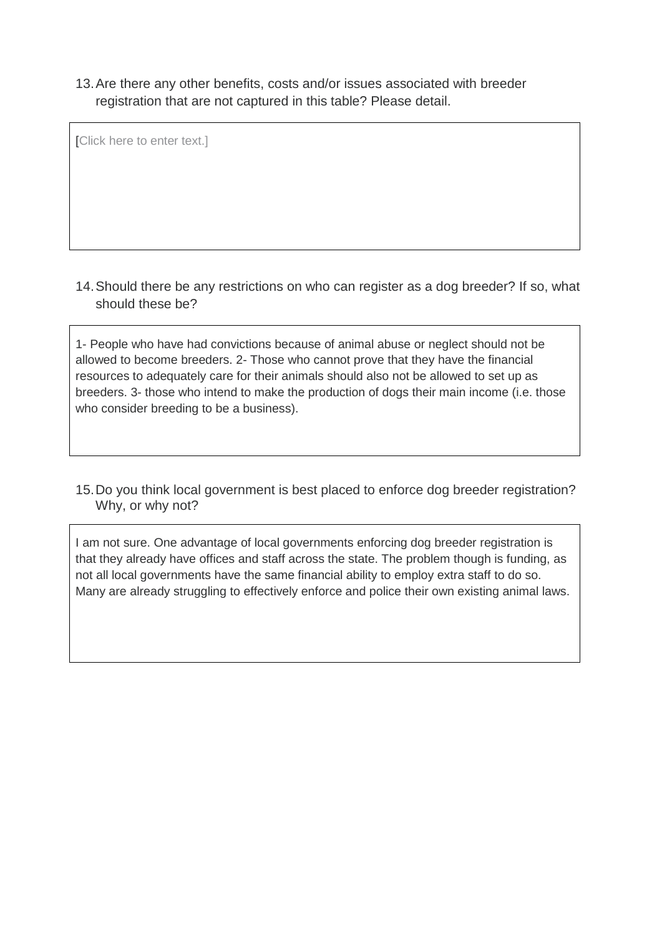13.Are there any other benefits, costs and/or issues associated with breeder registration that are not captured in this table? Please detail.

[Click here to enter text.]

14.Should there be any restrictions on who can register as a dog breeder? If so, what should these be?

1- People who have had convictions because of animal abuse or neglect should not be allowed to become breeders. 2- Those who cannot prove that they have the financial resources to adequately care for their animals should also not be allowed to set up as breeders. 3- those who intend to make the production of dogs their main income (i.e. those who consider breeding to be a business).

15.Do you think local government is best placed to enforce dog breeder registration? Why, or why not?

I am not sure. One advantage of local governments enforcing dog breeder registration is that they already have offices and staff across the state. The problem though is funding, as not all local governments have the same financial ability to employ extra staff to do so. Many are already struggling to effectively enforce and police their own existing animal laws.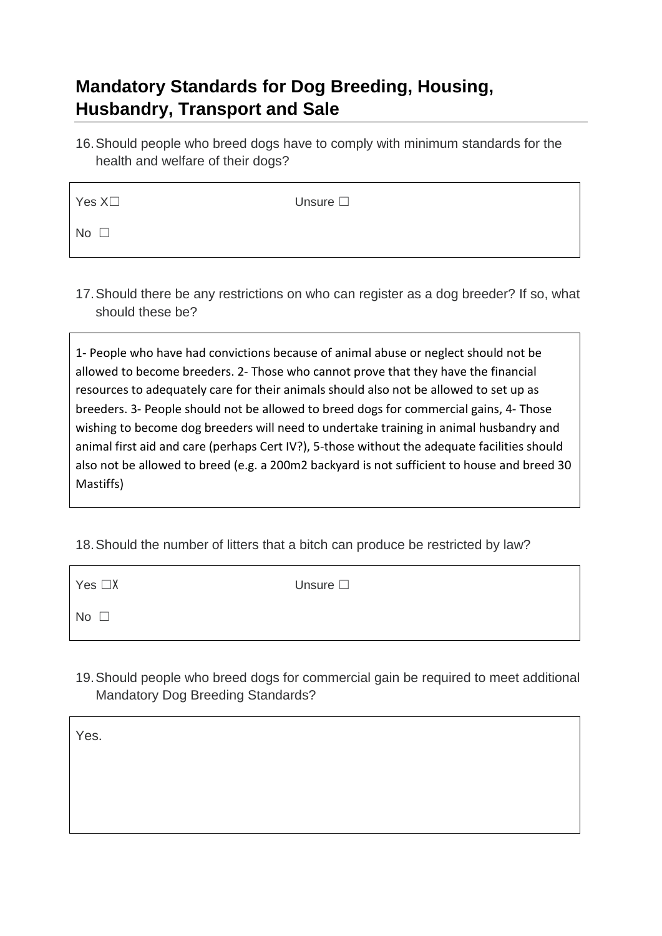#### **Mandatory Standards for Dog Breeding, Housing, Husbandry, Transport and Sale**

16.Should people who breed dogs have to comply with minimum standards for the health and welfare of their dogs?

| Yes $X\square$ | Unsure $\square$ |
|----------------|------------------|
| No $\square$   |                  |

17.Should there be any restrictions on who can register as a dog breeder? If so, what should these be?

1- People who have had convictions because of animal abuse or neglect should not be allowed to become breeders. 2- Those who cannot prove that they have the financial resources to adequately care for their animals should also not be allowed to set up as breeders. 3- People should not be allowed to breed dogs for commercial gains, 4- Those wishing to become dog breeders will need to undertake training in animal husbandry and animal first aid and care (perhaps Cert IV?), 5-those without the adequate facilities should also not be allowed to breed (e.g. a 200m2 backyard is not sufficient to house and breed 30 Mastiffs)

18.Should the number of litters that a bitch can produce be restricted by law?

| Yes $\Box X$ | Unsure $\square$ |
|--------------|------------------|
| No $\square$ |                  |

19.Should people who breed dogs for commercial gain be required to meet additional Mandatory Dog Breeding Standards?

Yes.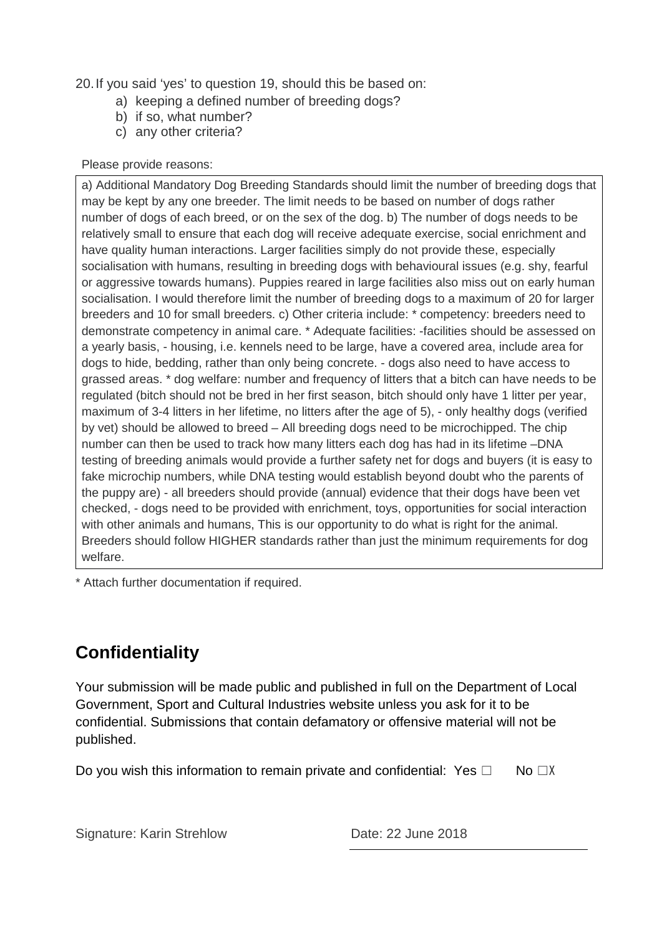20.If you said 'yes' to question 19, should this be based on:

- a) keeping a defined number of breeding dogs?
- b) if so, what number?
- c) any other criteria?

#### Please provide reasons:

a) Additional Mandatory Dog Breeding Standards should limit the number of breeding dogs that may be kept by any one breeder. The limit needs to be based on number of dogs rather number of dogs of each breed, or on the sex of the dog. b) The number of dogs needs to be relatively small to ensure that each dog will receive adequate exercise, social enrichment and have quality human interactions. Larger facilities simply do not provide these, especially socialisation with humans, resulting in breeding dogs with behavioural issues (e.g. shy, fearful or aggressive towards humans). Puppies reared in large facilities also miss out on early human socialisation. I would therefore limit the number of breeding dogs to a maximum of 20 for larger breeders and 10 for small breeders. c) Other criteria include: \* competency: breeders need to demonstrate competency in animal care. \* Adequate facilities: -facilities should be assessed on a yearly basis, - housing, i.e. kennels need to be large, have a covered area, include area for dogs to hide, bedding, rather than only being concrete. - dogs also need to have access to grassed areas. \* dog welfare: number and frequency of litters that a bitch can have needs to be regulated (bitch should not be bred in her first season, bitch should only have 1 litter per year, maximum of 3-4 litters in her lifetime, no litters after the age of 5), - only healthy dogs (verified by vet) should be allowed to breed – All breeding dogs need to be microchipped. The chip number can then be used to track how many litters each dog has had in its lifetime –DNA testing of breeding animals would provide a further safety net for dogs and buyers (it is easy to fake microchip numbers, while DNA testing would establish beyond doubt who the parents of the puppy are) - all breeders should provide (annual) evidence that their dogs have been vet checked, - dogs need to be provided with enrichment, toys, opportunities for social interaction with other animals and humans, This is our opportunity to do what is right for the animal. Breeders should follow HIGHER standards rather than just the minimum requirements for dog welfare.

\* Attach further documentation if required.

## **Confidentiality**

Your submission will be made public and published in full on the Department of Local Government, Sport and Cultural Industries website unless you ask for it to be confidential. Submissions that contain defamatory or offensive material will not be published.

Do you wish this information to remain private and confidential: Yes  $\Box$  No  $\Box X$ 

Signature: Karin Strehlow Date: 22 June 2018